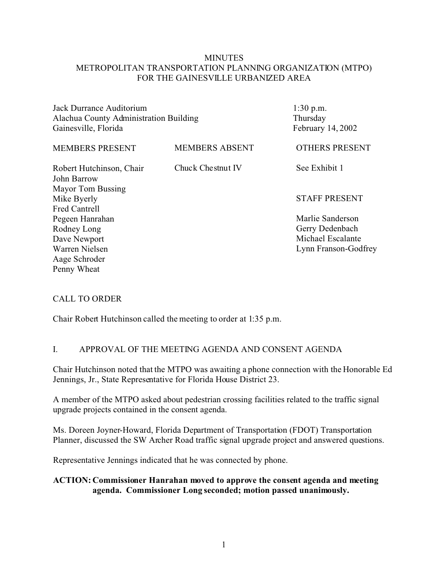## **MINUTES** METROPOLITAN TRANSPORTATION PLANNING ORGANIZATION (MTPO) FOR THE GAINESVILLE URBANIZED AREA

Jack Durrance Auditorium Alachua County Administration Building Gainesville, Florida

1:30 p.m. Thursday February 14, 2002

| <b>MEMBERS PRESENT</b>   | <b>MEMBERS ABSENT</b> | <b>OTHERS PRESENT</b> |
|--------------------------|-----------------------|-----------------------|
| Robert Hutchinson, Chair | Chuck Chestnut IV     | See Exhibit 1         |
| John Barrow              |                       |                       |
| Mayor Tom Bussing        |                       |                       |
| Mike Byerly              |                       | <b>STAFF PRESENT</b>  |
| <b>Fred Cantrell</b>     |                       |                       |
| Pegeen Hanrahan          |                       | Marlie Sanderson      |
| Rodney Long              |                       | Gerry Dedenbach       |
| Dave Newport             |                       | Michael Escalante     |
| Warren Nielsen           |                       | Lynn Franson-Godfrey  |
| Aage Schroder            |                       |                       |
| Penny Wheat              |                       |                       |
|                          |                       |                       |

#### CALL TO ORDER

Chair Robert Hutchinson called the meeting to order at 1:35 p.m.

### I. APPROVAL OF THE MEETING AGENDA AND CONSENT AGENDA

Chair Hutchinson noted that the MTPO was awaiting a phone connection with the Honorable Ed Jennings, Jr., State Representative for Florida House District 23.

A member of the MTPO asked about pedestrian crossing facilities related to the traffic signal upgrade projects contained in the consent agenda.

Ms. Doreen Joyner-Howard, Florida Department of Transportation (FDOT) Transportation Planner, discussed the SW Archer Road traffic signal upgrade project and answered questions.

Representative Jennings indicated that he was connected by phone.

## **ACTION: Commissioner Hanrahan moved to approve the consent agenda and meeting agenda. Commissioner Long seconded; motion passed unanimously.**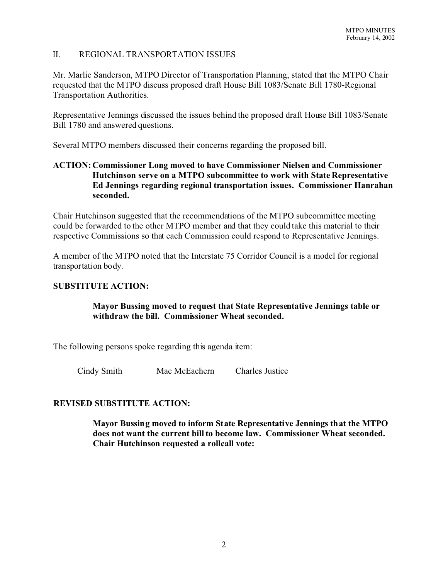# II. REGIONAL TRANSPORTATION ISSUES

Mr. Marlie Sanderson, MTPO Director of Transportation Planning, stated that the MTPO Chair requested that the MTPO discuss proposed draft House Bill 1083/Senate Bill 1780-Regional Transportation Authorities.

Representative Jennings discussed the issues behind the proposed draft House Bill 1083/Senate Bill 1780 and answered questions.

Several MTPO members discussed their concerns regarding the proposed bill.

# **ACTION: Commissioner Long moved to have Commissioner Nielsen and Commissioner Hutchinson serve on a MTPO subcommittee to work with State Representative Ed Jennings regarding regional transportation issues. Commissioner Hanrahan seconded.**

Chair Hutchinson suggested that the recommendations of the MTPO subcommittee meeting could be forwarded to the other MTPO member and that they could take this material to their respective Commissions so that each Commission could respond to Representative Jennings.

A member of the MTPO noted that the Interstate 75 Corridor Council is a model for regional transportation body.

# **SUBSTITUTE ACTION:**

# **Mayor Bussing moved to request that State Representative Jennings table or withdraw the bill. Commissioner Wheat seconded.**

The following persons spoke regarding this agenda item:

Cindy Smith Mac McEachern Charles Justice

### **REVISED SUBSTITUTE ACTION:**

**Mayor Bussing moved to inform State Representative Jennings that the MTPO does not want the current bill to become law. Commissioner Wheat seconded. Chair Hutchinson requested a rollcall vote:**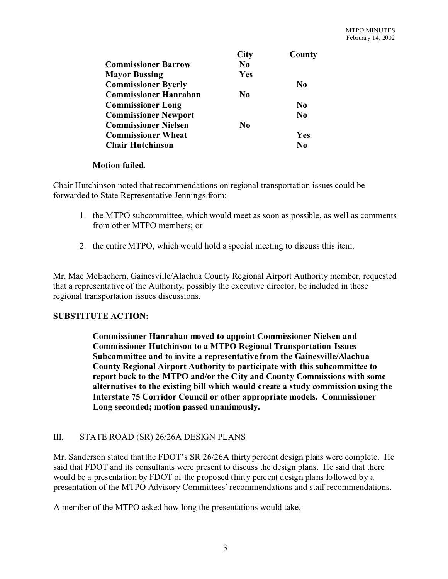|                              | <b>City</b>    | County         |
|------------------------------|----------------|----------------|
| <b>Commissioner Barrow</b>   | N <sub>0</sub> |                |
| <b>Mayor Bussing</b>         | Yes            |                |
| <b>Commissioner Byerly</b>   |                | $\bf No$       |
| <b>Commissioner Hanrahan</b> | N0             |                |
| <b>Commissioner Long</b>     |                | N <sub>0</sub> |
| <b>Commissioner Newport</b>  |                | $\bf No$       |
| <b>Commissioner Nielsen</b>  | No             |                |
| <b>Commissioner Wheat</b>    |                | Yes            |
| <b>Chair Hutchinson</b>      |                | No             |

### **Motion failed.**

Chair Hutchinson noted that recommendations on regional transportation issues could be forwarded to State Representative Jennings from:

- 1. the MTPO subcommittee, which would meet as soon as possible, as well as comments from other MTPO members; or
- 2. the entire MTPO, which would hold a special meeting to discuss this item.

Mr. Mac McEachern, Gainesville/Alachua County Regional Airport Authority member, requested that a representative of the Authority, possibly the executive director, be included in these regional transportation issues discussions.

### **SUBSTITUTE ACTION:**

**Commissioner Hanrahan moved to appoint Commissioner Nielsen and Commissioner Hutchinson to a MTPO Regional Transportation Issues Subcommittee and to invite a representative from the Gainesville/Alachua County Regional Airport Authority to participate with this subcommittee to report back to the MTPO and/or the City and County Commissions with some alternatives to the existing bill which would create a study commission using the Interstate 75 Corridor Council or other appropriate models. Commissioner Long seconded; motion passed unanimously.** 

### III. STATE ROAD (SR) 26/26A DESIGN PLANS

Mr. Sanderson stated that the FDOT's SR 26/26A thirty percent design plans were complete. He said that FDOT and its consultants were present to discuss the design plans. He said that there would be a presentation by FDOT of the proposed thirty percent design plans followed by a presentation of the MTPO Advisory Committees' recommendations and staff recommendations.

A member of the MTPO asked how long the presentations would take.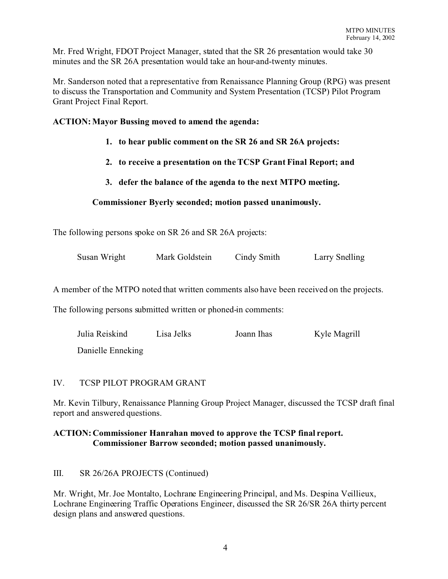Mr. Fred Wright, FDOT Project Manager, stated that the SR 26 presentation would take 30 minutes and the SR 26A presentation would take an hour-and-twenty minutes.

Mr. Sanderson noted that a representative from Renaissance Planning Group (RPG) was present to discuss the Transportation and Community and System Presentation (TCSP) Pilot Program Grant Project Final Report.

## **ACTION: Mayor Bussing moved to amend the agenda:**

- **1. to hear public comment on the SR 26 and SR 26A projects:**
- **2. to receive a presentation on the TCSP Grant Final Report; and**
- **3. defer the balance of the agenda to the next MTPO meeting.**

# **Commissioner Byerly seconded; motion passed unanimously.**

The following persons spoke on SR 26 and SR 26A projects:

| Susan Wright | Mark Goldstein | Cindy Smith | Larry Snelling |
|--------------|----------------|-------------|----------------|
|              |                |             |                |

A member of the MTPO noted that written comments also have been received on the projects.

The following persons submitted written or phoned-in comments:

| Julia Reiskind    | Lisa Jelks | Joann Ihas | Kyle Magrill |
|-------------------|------------|------------|--------------|
| Danielle Enneking |            |            |              |

### IV. TCSP PILOT PROGRAM GRANT

Mr. Kevin Tilbury, Renaissance Planning Group Project Manager, discussed the TCSP draft final report and answered questions.

# **ACTION: Commissioner Hanrahan moved to approve the TCSP final report. Commissioner Barrow seconded; motion passed unanimously.**

III. SR 26/26A PROJECTS (Continued)

Mr. Wright, Mr. Joe Montalto, Lochrane Engineering Principal, and Ms. Despina Veillieux, Lochrane Engineering Traffic Operations Engineer, discussed the SR 26/SR 26A thirty percent design plans and answered questions.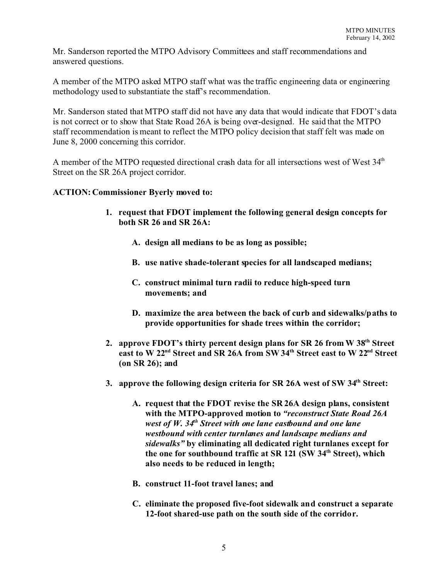Mr. Sanderson reported the MTPO Advisory Committees and staff recommendations and answered questions.

A member of the MTPO asked MTPO staff what was the traffic engineering data or engineering methodology used to substantiate the staff's recommendation.

Mr. Sanderson stated that MTPO staff did not have any data that would indicate that FDOT's data is not correct or to show that State Road 26A is being over-designed. He said that the MTPO staff recommendation is meant to reflect the MTPO policy decision that staff felt was made on June 8, 2000 concerning this corridor.

A member of the MTPO requested directional crash data for all intersections west of West 34<sup>th</sup> Street on the SR 26A project corridor.

### **ACTION: Commissioner Byerly moved to:**

- **1. request that FDOT implement the following general design concepts for both SR 26 and SR 26A:**
	- **A. design all medians to be as long as possible;**
	- **B. use native shade-tolerant species for all landscaped medians;**
	- **C. construct minimal turn radii to reduce high-speed turn movements; and**
	- **D. maximize the area between the back of curb and sidewalks/paths to provide opportunities for shade trees within the corridor;**
- **2. approve FDOT's thirty percent design plans for SR 26 from W 38th Street east to W 22nd Street and SR 26A from SW 34th Street east to W 22nd Street (on SR 26); and**
- **3. approve the following design criteria for SR 26A west of SW 34th Street:**
	- **A. request that the FDOT revise the SR 26A design plans, consistent with the MTPO-approved motion to** *"reconstruct State Road 26A west of W. 34th Street with one lane eastbound and one lane westbound with center turnlanes and landscape medians and sidewalks"* **by eliminating all dedicated right turnlanes except for the one for southbound traffic at SR 121 (SW 34th Street), which also needs to be reduced in length;**
	- **B. construct 11-foot travel lanes; and**
	- **C. eliminate the proposed five-foot sidewalk and construct a separate 12-foot shared-use path on the south side of the corridor.**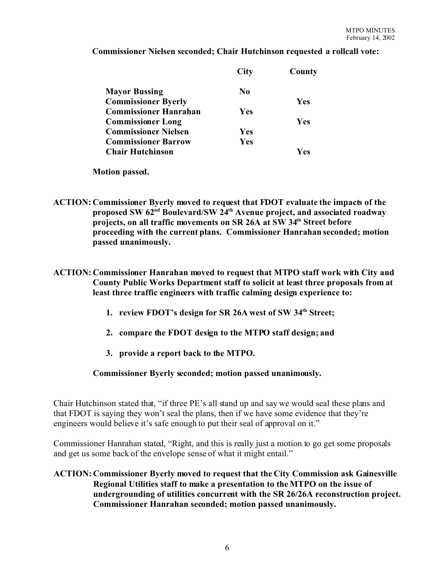### **Commissioner Nielsen seconded; Chair Hutchinson requested a rollcall vote:**

|                              | <b>City</b>    | County |
|------------------------------|----------------|--------|
| <b>Mayor Bussing</b>         | N <sub>0</sub> |        |
| <b>Commissioner Byerly</b>   |                | Yes    |
| <b>Commissioner Hanrahan</b> | Yes            |        |
| <b>Commissioner Long</b>     |                | Yes    |
| <b>Commissioner Nielsen</b>  | Yes            |        |
| <b>Commissioner Barrow</b>   | Yes            |        |
| <b>Chair Hutchinson</b>      |                | Yes    |

**Motion passed.**

- **ACTION: Commissioner Byerly moved to request that FDOT evaluate the impacts of the proposed SW 62nd Boulevard/SW 24th Avenue project, and associated roadway projects, on all traffic movements on SR 26A at SW 34th Street before proceeding with the current plans. Commissioner Hanrahan seconded; motion passed unanimously.**
- **ACTION: Commissioner Hanrahan moved to request that MTPO staff work with City and County Public Works Department staff to solicit at least three proposals from at least three traffic engineers with traffic calming design experience to:**
	- **1. review FDOT's design for SR 26A west of SW 34th Street;**
	- **2. compare the FDOT design to the MTPO staff design; and**
	- **3. provide a report back to the MTPO.**

# **Commissioner Byerly seconded; motion passed unanimously.**

Chair Hutchinson stated that, "if three PE's all stand up and say we would seal these plans and that FDOT is saying they won't seal the plans, then if we have some evidence that they're engineers would believe it's safe enough to put their seal of approval on it."

Commissioner Hanrahan stated, "Right, and this is really just a motion to go get some proposals and get us some back of the envelope sense of what it might entail."

# **ACTION: Commissioner Byerly moved to request that the City Commission ask Gainesville Regional Utilities staff to make a presentation to the MTPO on the issue of undergrounding of utilities concurrent with the SR 26/26A reconstruction project. Commissioner Hanrahan seconded; motion passed unanimously.**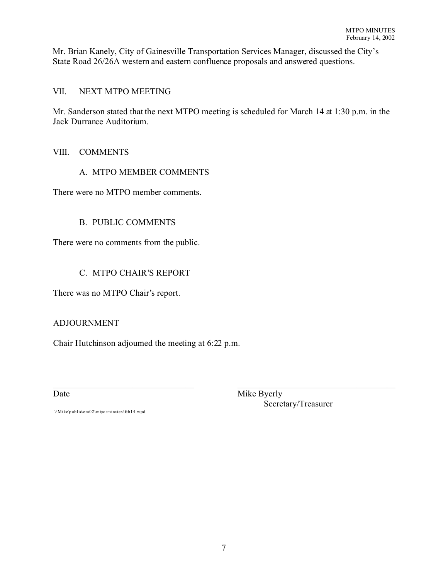Mr. Brian Kanely, City of Gainesville Transportation Services Manager, discussed the City's State Road 26/26A western and eastern confluence proposals and answered questions.

# VII. NEXT MTPO MEETING

Mr. Sanderson stated that the next MTPO meeting is scheduled for March 14 at 1:30 p.m. in the Jack Durrance Auditorium.

### VIII. COMMENTS

### A. MTPO MEMBER COMMENTS

There were no MTPO member comments.

# B. PUBLIC COMMENTS

There were no comments from the public.

# C. MTPO CHAIR'S REPORT

There was no MTPO Chair's report.

# ADJOURNMENT

Chair Hutchinson adjourned the meeting at 6:22 p.m.

 $\_$  , and the contribution of the contribution of  $\_$  . The contribution of the contribution of  $\mathcal{L}_\mathcal{A}$ Date Mike Byerly Secretary/Treasurer

\\Mike\public\em02\mtpo\minutes\feb14.wpd